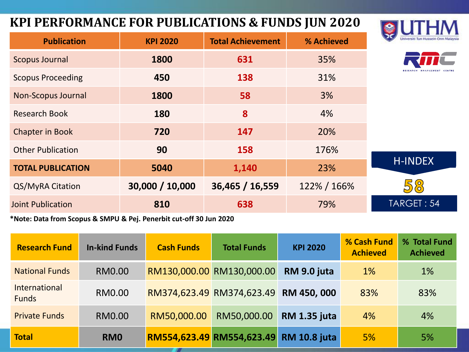#### **KPI PERFORMANCE FOR PUBLICATIONS & FUNDS JUN 2020**

Joint Publication **810 638** 79%

**Publication KPI 2020 Total Achievement % Achieved**



TARGET : 54

| <b>Scopus Journal</b>    | 1800            | 631             | 35%         |  |
|--------------------------|-----------------|-----------------|-------------|--|
| <b>Scopus Proceeding</b> | 450             | 138             | 31%         |  |
| Non-Scopus Journal       | 1800            | 58              | 3%          |  |
| <b>Research Book</b>     | 180             | 8               | 4%          |  |
| <b>Chapter in Book</b>   | 720             | 147             | 20%         |  |
| <b>Other Publication</b> | 90              | 158             | 176%        |  |
| <b>TOTAL PUBLICATION</b> | 5040            | 1,140           | 23%         |  |
| QS/MyRA Citation         | 30,000 / 10,000 | 36,465 / 16,559 | 122% / 166% |  |

**\*Note: Data from Scopus & SMPU & Pej. Penerbit cut-off 30 Jun 2020**

| <b>Research Fund</b>          | <b>In-kind Funds</b> | <b>Cash Funds</b>         | <b>Total Funds</b>        | <b>KPI 2020</b>     | % Cash Fund<br><b>Achieved</b> | % Total Fund<br><b>Achieved</b> |
|-------------------------------|----------------------|---------------------------|---------------------------|---------------------|--------------------------------|---------------------------------|
| <b>National Funds</b>         | <b>RM0.00</b>        |                           | RM130,000.00 RM130,000.00 | RM 9.0 juta         | 1%                             | 1%                              |
| International<br><b>Funds</b> | <b>RM0.00</b>        |                           | RM374,623.49 RM374,623.49 | RM 450, 000         | 83%                            | 83%                             |
| <b>Private Funds</b>          | <b>RM0.00</b>        | RM50,000.00               | RM50,000.00               | <b>RM 1.35 juta</b> | 4%                             | 4%                              |
| <b>Total</b>                  | RM <sub>0</sub>      | RM554,623.49 RM554,623.49 |                           | <b>RM 10.8 juta</b> | 5%                             | 5%                              |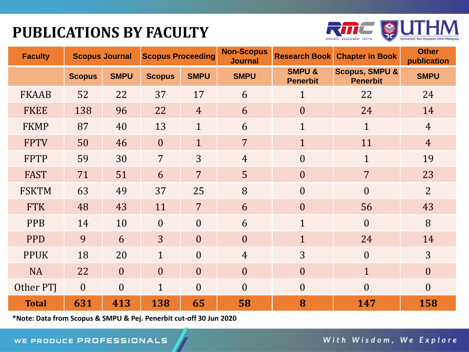## **PUBLICATIONS BY FACULTY**



| <b>Faculty</b> | <b>Scopus Journal</b> |                | <b>Scopus Proceeding</b> |                | <b>Non-Scopus</b><br><b>Journal</b> | <b>Research Book</b>                 | <b>Chapter in Book</b>                       | <b>Other</b><br>publication |
|----------------|-----------------------|----------------|--------------------------|----------------|-------------------------------------|--------------------------------------|----------------------------------------------|-----------------------------|
|                | <b>Scopus</b>         | <b>SMPU</b>    | <b>Scopus</b>            | <b>SMPU</b>    | <b>SMPU</b>                         | <b>SMPU &amp;</b><br><b>Penerbit</b> | <b>Scopus, SMPU &amp;</b><br><b>Penerbit</b> | <b>SMPU</b>                 |
| <b>FKAAB</b>   | 52                    | 22             | 37                       | 17             | 6                                   | $\overline{1}$                       | 22                                           | 24                          |
| <b>FKEE</b>    | 138                   | 96             | 22                       | $\overline{4}$ | 6                                   | $\boldsymbol{0}$                     | 24                                           | 14                          |
| <b>FKMP</b>    | 87                    | 40             | 13                       | $\mathbf{1}$   | 6                                   | $\mathbf{1}$                         | $\mathbf{1}$                                 | $\overline{4}$              |
| <b>FPTV</b>    | 50                    | 46             | $\overline{0}$           | $\mathbf{1}$   | $\overline{7}$                      | $\overline{1}$                       | 11                                           | $\overline{4}$              |
| <b>FPTP</b>    | 59                    | 30             | $\overline{7}$           | 3              | $\overline{4}$                      | $\boldsymbol{0}$                     | $\mathbf{1}$                                 | 19                          |
| <b>FAST</b>    | 71                    | 51             | 6                        | $\overline{7}$ | 5                                   | $\overline{0}$                       | $\overline{7}$                               | 23                          |
| <b>FSKTM</b>   | 63                    | 49             | 37                       | 25             | 8                                   | $\theta$                             | $\theta$                                     | $\overline{2}$              |
| <b>FTK</b>     | 48                    | 43             | 11                       | $\overline{7}$ | 6                                   | $\overline{0}$                       | 56                                           | 43                          |
| <b>PPB</b>     | 14                    | 10             | $\mathbf{0}$             | $\overline{0}$ | 6                                   | $\mathbf{1}$                         | $\theta$                                     | 8                           |
| <b>PPD</b>     | 9                     | 6              | $\overline{3}$           | $\overline{0}$ | $\overline{0}$                      | $\mathbf{1}$                         | 24                                           | 14                          |
| <b>PPUK</b>    | 18                    | 20             | $\mathbf{1}$             | $\theta$       | $\overline{4}$                      | 3                                    | $\theta$                                     | 3 <sup>1</sup>              |
| <b>NA</b>      | 22                    | $\overline{0}$ | $\overline{0}$           | $\overline{0}$ | $\overline{0}$                      | $\overline{0}$                       | $\mathbf{1}$                                 | $\boldsymbol{0}$            |
| Other PTJ      | $\theta$              | $\overline{0}$ | $\mathbf{1}$             | $\overline{0}$ | $\theta$                            | $\overline{0}$                       | $\theta$                                     | $\overline{0}$              |
| <b>Total</b>   | 631                   | 413            | 138                      | 65             | 58                                  | 8                                    | 147                                          | 158                         |

**\*Note: Data from Scopus & SMPU & Pej. Penerbit cut-off 30 Jun 2020**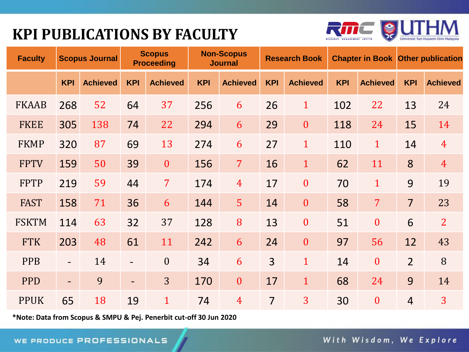## **KPI PUBLICATIONS BY FACULTY**



| <b>Faculty</b> |                          | <b>Scopus Journal</b> |                          | <b>Scopus</b><br><b>Proceeding</b> |            | <b>Non-Scopus</b><br><b>Journal</b> |                | <b>Research Book</b> |            | <b>Chapter in Book Other publication</b> |                |                 |
|----------------|--------------------------|-----------------------|--------------------------|------------------------------------|------------|-------------------------------------|----------------|----------------------|------------|------------------------------------------|----------------|-----------------|
|                | <b>KPI</b>               | <b>Achieved</b>       | <b>KPI</b>               | <b>Achieved</b>                    | <b>KPI</b> | <b>Achieved</b>                     | <b>KPI</b>     | <b>Achieved</b>      | <b>KPI</b> | <b>Achieved</b>                          | <b>KPI</b>     | <b>Achieved</b> |
| <b>FKAAB</b>   | 268                      | 52                    | 64                       | 37                                 | 256        | 6                                   | 26             | $\mathbf{1}$         | 102        | 22                                       | 13             | 24              |
| <b>FKEE</b>    | 305                      | 138                   | 74                       | 22                                 | 294        | 6                                   | 29             | $\mathbf{0}$         | 118        | 24                                       | 15             | 14              |
| <b>FKMP</b>    | 320                      | 87                    | 69                       | 13                                 | 274        | 6                                   | 27             | $\mathbf{1}$         | 110        | $\mathbf{1}$                             | 14             | $\overline{4}$  |
| <b>FPTV</b>    | 159                      | 50                    | 39                       | $\boldsymbol{0}$                   | 156        | $\overline{7}$                      | 16             | $\mathbf{1}$         | 62         | 11                                       | 8              | $\overline{4}$  |
| <b>FPTP</b>    | 219                      | 59                    | 44                       | $\overline{7}$                     | 174        | $\overline{4}$                      | 17             | $\mathbf{0}$         | 70         | $\mathbf{1}$                             | 9              | 19              |
| <b>FAST</b>    | 158                      | 71                    | 36                       | 6                                  | 144        | 5 <sup>1</sup>                      | 14             | $\mathbf{0}$         | 58         | $\overline{7}$                           | $\overline{7}$ | 23              |
| <b>FSKTM</b>   | 114                      | 63                    | 32                       | 37                                 | 128        | 8                                   | 13             | $\mathbf{0}$         | 51         | $\mathbf{0}$                             | 6              | $\overline{2}$  |
| <b>FTK</b>     | 203                      | 48                    | 61                       | 11                                 | 242        | 6                                   | 24             | $\mathbf{0}$         | 97         | 56                                       | 12             | 43              |
| <b>PPB</b>     | $\overline{\phantom{0}}$ | 14                    | $\overline{\phantom{a}}$ | $\mathbf{0}$                       | 34         | 6                                   | $\overline{3}$ | $\mathbf{1}$         | 14         | $\overline{0}$                           | $\overline{2}$ | 8               |
| <b>PPD</b>     | $\overline{\phantom{0}}$ | 9                     | $\overline{\phantom{a}}$ | 3                                  | 170        | $\boldsymbol{0}$                    | 17             | $\mathbf{1}$         | 68         | 24                                       | 9              | 14              |
| <b>PPUK</b>    | 65                       | 18                    | 19                       | $\mathbf{1}$                       | 74         | $\overline{4}$                      | $\overline{7}$ | 3                    | 30         | $\overline{0}$                           | $\overline{4}$ | 3               |

**\*Note: Data from Scopus & SMPU & Pej. Penerbit cut-off 30 Jun 2020**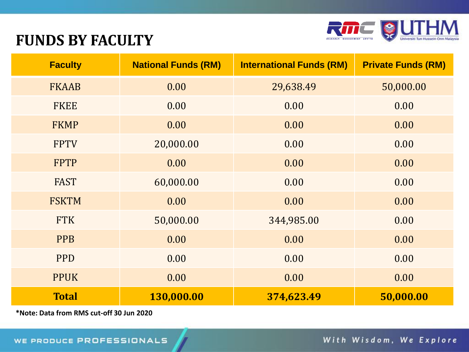

#### **FUNDS BY FACULTY**

| <b>Faculty</b> | <b>National Funds (RM)</b> | <b>International Funds (RM)</b> | <b>Private Funds (RM)</b> |
|----------------|----------------------------|---------------------------------|---------------------------|
| <b>FKAAB</b>   | 0.00                       | 29,638.49                       | 50,000.00                 |
| <b>FKEE</b>    | 0.00                       | 0.00                            | 0.00                      |
| <b>FKMP</b>    | 0.00                       | 0.00                            | 0.00                      |
| <b>FPTV</b>    | 20,000.00                  | 0.00                            | 0.00                      |
| <b>FPTP</b>    | 0.00                       | 0.00                            | 0.00                      |
| <b>FAST</b>    | 60,000.00                  | 0.00                            | 0.00                      |
| <b>FSKTM</b>   | 0.00                       | 0.00                            | 0.00                      |
| <b>FTK</b>     | 50,000.00                  | 344,985.00                      | 0.00                      |
| <b>PPB</b>     | 0.00                       | 0.00                            | 0.00                      |
| <b>PPD</b>     | 0.00                       | 0.00                            | 0.00                      |
| <b>PPUK</b>    | 0.00                       | 0.00                            | 0.00                      |
| <b>Total</b>   | 130,000.00                 | 374,623.49                      | 50,000.00                 |

**\*Note: Data from RMS cut-off 30 Jun 2020**

With Wisdom, We Explore